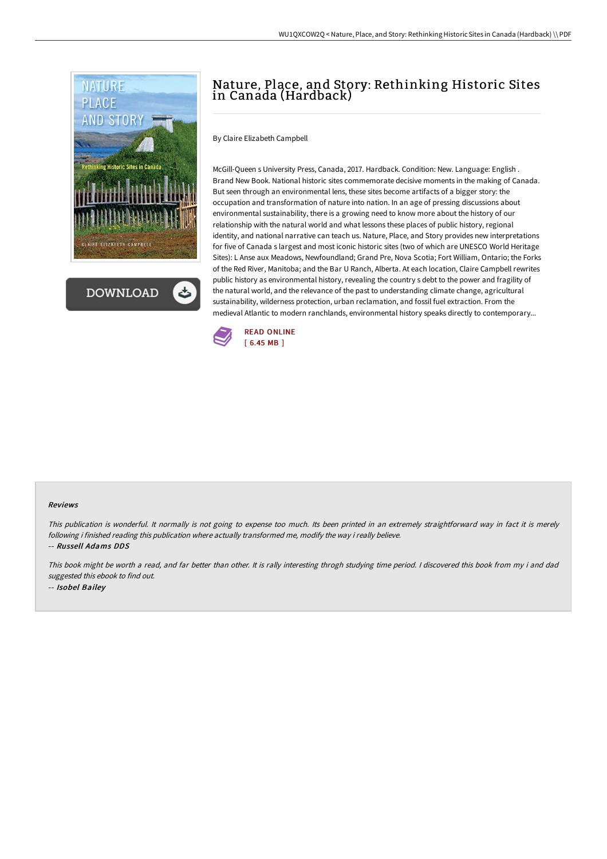

**DOWNLOAD** 

# Nature, Place, and Story: Rethinking Historic Sites in Canada (Hardback)

By Claire Elizabeth Campbell

McGill-Queen s University Press, Canada, 2017. Hardback. Condition: New. Language: English . Brand New Book. National historic sites commemorate decisive moments in the making of Canada. But seen through an environmental lens, these sites become artifacts of a bigger story: the occupation and transformation of nature into nation. In an age of pressing discussions about environmental sustainability, there is a growing need to know more about the history of our relationship with the natural world and what lessons these places of public history, regional identity, and national narrative can teach us. Nature, Place, and Story provides new interpretations for five of Canada s largest and most iconic historic sites (two of which are UNESCO World Heritage Sites): L Anse aux Meadows, Newfoundland; Grand Pre, Nova Scotia; Fort William, Ontario; the Forks of the Red River, Manitoba; and the Bar U Ranch, Alberta. At each location, Claire Campbell rewrites public history as environmental history, revealing the country s debt to the power and fragility of the natural world, and the relevance of the past to understanding climate change, agricultural sustainability, wilderness protection, urban reclamation, and fossil fuel extraction. From the medieval Atlantic to modern ranchlands, environmental history speaks directly to contemporary...



#### Reviews

This publication is wonderful. It normally is not going to expense too much. Its been printed in an extremely straightforward way in fact it is merely following i finished reading this publication where actually transformed me, modify the way i really believe.

-- Russell Adams DDS

This book might be worth <sup>a</sup> read, and far better than other. It is rally interesting throgh studying time period. <sup>I</sup> discovered this book from my i and dad suggested this ebook to find out. -- Isobel Bailey